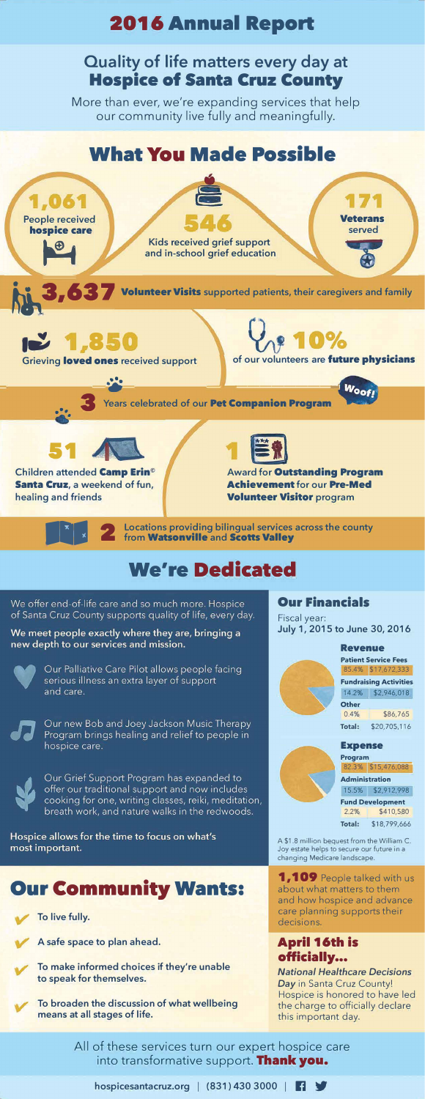# **2016 Annual Report**

## **Quality of life matters every day at Hospice of Santa Cruz County**

More than ever, we're expanding services that help our community live fully and meaningfully.

# **What You Made Possible**



Locations providing bilingual services across the county **from Watsonville and Scotts Valley** 

## April 16th is officially ...

# **We're Dedicated**

We offer end-of-life care and so much more. Hospice of Santa Cruz County supports quality of life, every day.

# **Our Community Wants:**



All of these services turn our expert hospice care into transformative support. Thank you.

- **A safe space to plan ahead.**
- **To make informed choices if they're unable to speak for themselves.**



Our Financials Fiscal year:

We meet people exactly where they are, bringing a new depth to our services and mission.



Our Palliative Care Pilot allows people facing serious illness an extra layer of support and care.



Our new Bob and Joey Jackson Music Therapy Program brings healing and relief to people in hospice care.



Our Grief Support Program has expanded to offer our traditional support and now includes cooking for one, writing classes, reiki, meditation, breath work, and nature walks in the redwoods.

Hospice allows for the time to focus on what's most important.

#### **July 1, 2015 to June 30, 2016**

### **Revenue**

|               | <b>Patient Service Fees</b>   |
|---------------|-------------------------------|
|               | 85.4% \$17,672,333            |
|               | <b>Fundraising Activities</b> |
| 14.2%         | \$2,946,018                   |
| <b>Other</b>  |                               |
| 0.4%          | \$86,765                      |
| <b>Total:</b> | \$20,705,116                  |

#### **Expense**

| Program                 |              |  |
|-------------------------|--------------|--|
| 82.3%                   | \$15,476,088 |  |
| <b>Administration</b>   |              |  |
| 15.5%                   | \$2,912,998  |  |
| <b>Fund Development</b> |              |  |
| 2.2%                    | \$410,580    |  |
|                         |              |  |
| Total:                  | \$18,799,666 |  |

A \$1.8 million bequest from the William C. Joy estate helps to secure our future in a changing Medicare landscape.

1,109 People talked with us about what matters to them and how hospice and advance care planning supports their decisions.

*National Healthcare Decisions Day* in Santa Cruz County! Hospice is honored to have led the charge to officially declare this important day.

**hospicesantacruz.org** I **(831) 430 3000** I **(i** "#